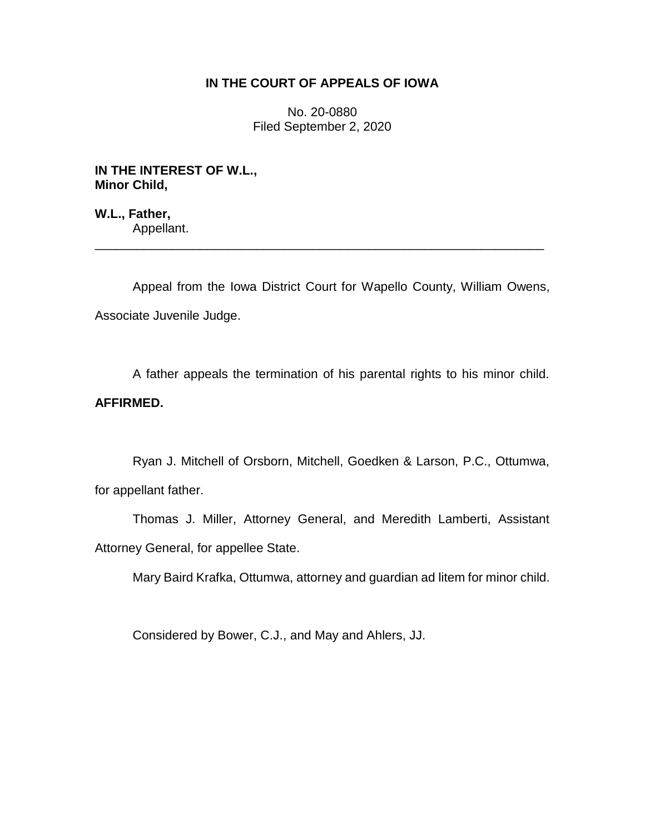# **IN THE COURT OF APPEALS OF IOWA**

No. 20-0880 Filed September 2, 2020

**IN THE INTEREST OF W.L., Minor Child,**

**W.L., Father,** Appellant.

Appeal from the Iowa District Court for Wapello County, William Owens, Associate Juvenile Judge.

\_\_\_\_\_\_\_\_\_\_\_\_\_\_\_\_\_\_\_\_\_\_\_\_\_\_\_\_\_\_\_\_\_\_\_\_\_\_\_\_\_\_\_\_\_\_\_\_\_\_\_\_\_\_\_\_\_\_\_\_\_\_\_\_

A father appeals the termination of his parental rights to his minor child. **AFFIRMED.**

Ryan J. Mitchell of Orsborn, Mitchell, Goedken & Larson, P.C., Ottumwa, for appellant father.

Thomas J. Miller, Attorney General, and Meredith Lamberti, Assistant Attorney General, for appellee State.

Mary Baird Krafka, Ottumwa, attorney and guardian ad litem for minor child.

Considered by Bower, C.J., and May and Ahlers, JJ.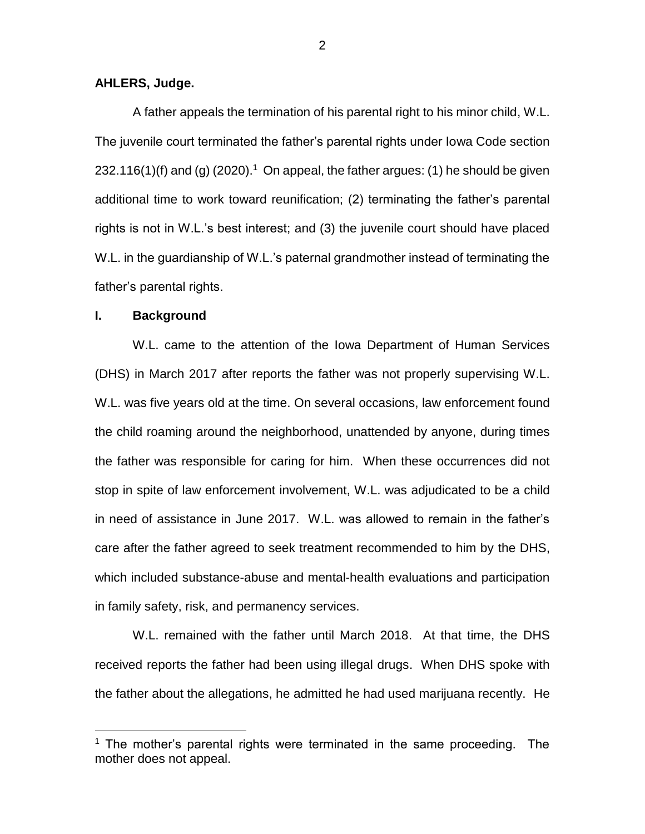## **AHLERS, Judge.**

A father appeals the termination of his parental right to his minor child, W.L. The juvenile court terminated the father's parental rights under Iowa Code section 232.116(1)(f) and (g)  $(2020)^{1}$  On appeal, the father argues: (1) he should be given additional time to work toward reunification; (2) terminating the father's parental rights is not in W.L.'s best interest; and (3) the juvenile court should have placed W.L. in the guardianship of W.L.'s paternal grandmother instead of terminating the father's parental rights.

## **I. Background**

 $\overline{a}$ 

W.L. came to the attention of the Iowa Department of Human Services (DHS) in March 2017 after reports the father was not properly supervising W.L. W.L. was five years old at the time. On several occasions, law enforcement found the child roaming around the neighborhood, unattended by anyone, during times the father was responsible for caring for him. When these occurrences did not stop in spite of law enforcement involvement, W.L. was adjudicated to be a child in need of assistance in June 2017. W.L. was allowed to remain in the father's care after the father agreed to seek treatment recommended to him by the DHS, which included substance-abuse and mental-health evaluations and participation in family safety, risk, and permanency services.

W.L. remained with the father until March 2018. At that time, the DHS received reports the father had been using illegal drugs. When DHS spoke with the father about the allegations, he admitted he had used marijuana recently. He

<sup>&</sup>lt;sup>1</sup> The mother's parental rights were terminated in the same proceeding. The mother does not appeal.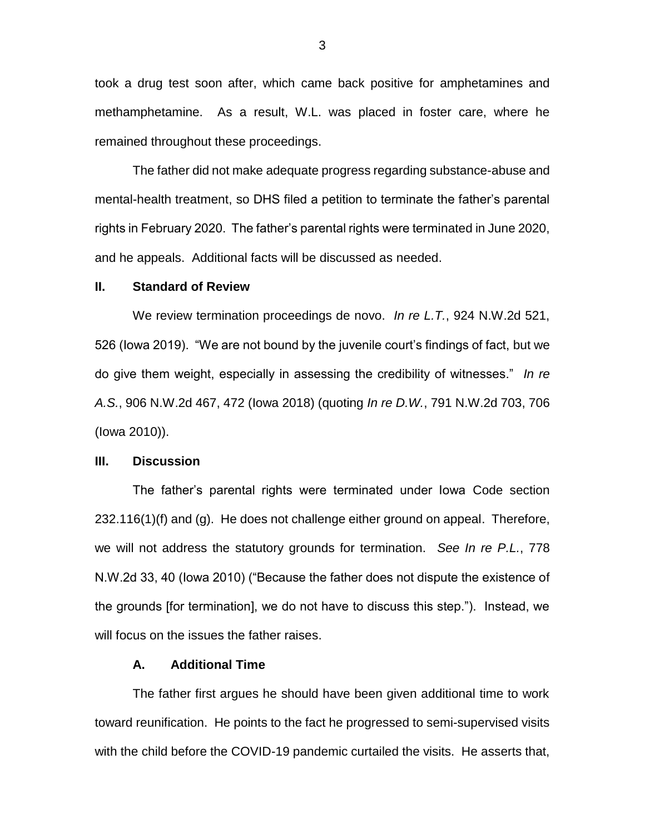took a drug test soon after, which came back positive for amphetamines and methamphetamine. As a result, W.L. was placed in foster care, where he remained throughout these proceedings.

The father did not make adequate progress regarding substance-abuse and mental-health treatment, so DHS filed a petition to terminate the father's parental rights in February 2020. The father's parental rights were terminated in June 2020, and he appeals. Additional facts will be discussed as needed.

#### **II. Standard of Review**

We review termination proceedings de novo. *In re L.T.*, 924 N.W.2d 521, 526 (Iowa 2019). "We are not bound by the juvenile court's findings of fact, but we do give them weight, especially in assessing the credibility of witnesses." *In re A.S.*, 906 N.W.2d 467, 472 (Iowa 2018) (quoting *In re D.W.*, 791 N.W.2d 703, 706 (Iowa 2010)).

### **III. Discussion**

The father's parental rights were terminated under Iowa Code section  $232.116(1)(f)$  and  $(q)$ . He does not challenge either ground on appeal. Therefore, we will not address the statutory grounds for termination. *See In re P.L.*, 778 N.W.2d 33, 40 (Iowa 2010) ("Because the father does not dispute the existence of the grounds [for termination], we do not have to discuss this step."). Instead, we will focus on the issues the father raises.

## **A. Additional Time**

The father first argues he should have been given additional time to work toward reunification. He points to the fact he progressed to semi-supervised visits with the child before the COVID-19 pandemic curtailed the visits. He asserts that,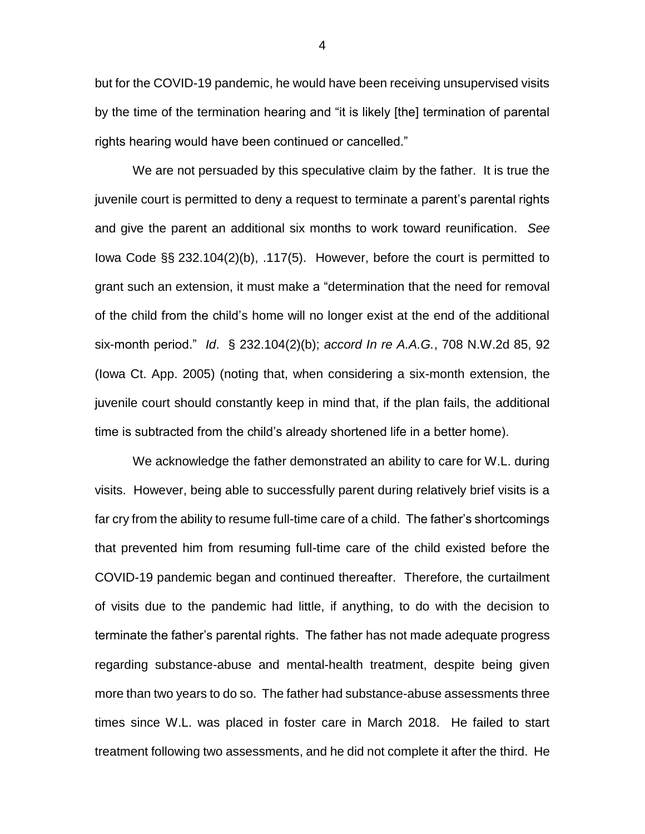but for the COVID-19 pandemic, he would have been receiving unsupervised visits by the time of the termination hearing and "it is likely [the] termination of parental rights hearing would have been continued or cancelled."

We are not persuaded by this speculative claim by the father. It is true the juvenile court is permitted to deny a request to terminate a parent's parental rights and give the parent an additional six months to work toward reunification. *See* Iowa Code §§ 232.104(2)(b), .117(5). However, before the court is permitted to grant such an extension, it must make a "determination that the need for removal of the child from the child's home will no longer exist at the end of the additional six-month period." *Id*. § 232.104(2)(b); *accord In re A.A.G.*, 708 N.W.2d 85, 92 (Iowa Ct. App. 2005) (noting that, when considering a six-month extension, the juvenile court should constantly keep in mind that, if the plan fails, the additional time is subtracted from the child's already shortened life in a better home).

We acknowledge the father demonstrated an ability to care for W.L. during visits. However, being able to successfully parent during relatively brief visits is a far cry from the ability to resume full-time care of a child. The father's shortcomings that prevented him from resuming full-time care of the child existed before the COVID-19 pandemic began and continued thereafter. Therefore, the curtailment of visits due to the pandemic had little, if anything, to do with the decision to terminate the father's parental rights. The father has not made adequate progress regarding substance-abuse and mental-health treatment, despite being given more than two years to do so. The father had substance-abuse assessments three times since W.L. was placed in foster care in March 2018. He failed to start treatment following two assessments, and he did not complete it after the third. He

4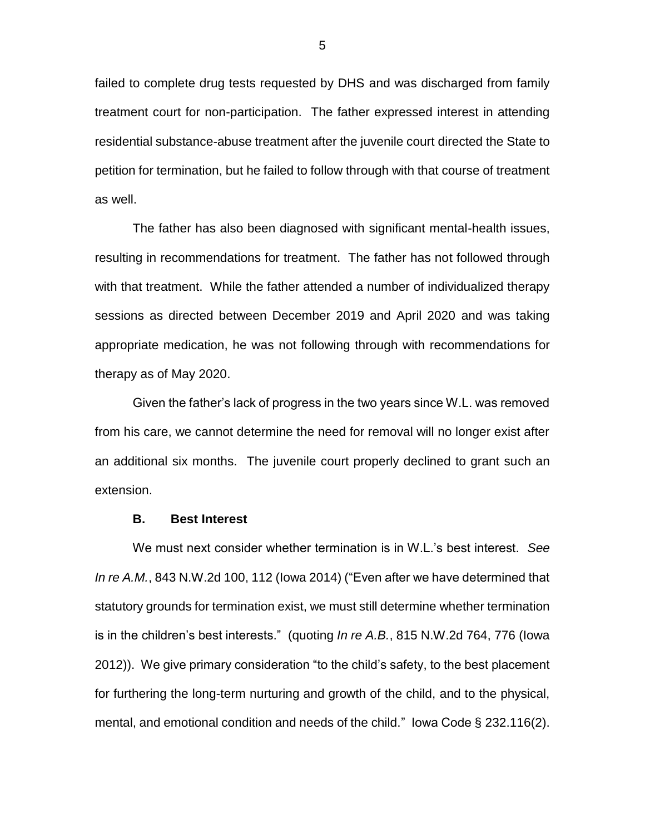failed to complete drug tests requested by DHS and was discharged from family treatment court for non-participation. The father expressed interest in attending residential substance-abuse treatment after the juvenile court directed the State to petition for termination, but he failed to follow through with that course of treatment as well.

The father has also been diagnosed with significant mental-health issues, resulting in recommendations for treatment. The father has not followed through with that treatment. While the father attended a number of individualized therapy sessions as directed between December 2019 and April 2020 and was taking appropriate medication, he was not following through with recommendations for therapy as of May 2020.

Given the father's lack of progress in the two years since W.L. was removed from his care, we cannot determine the need for removal will no longer exist after an additional six months. The juvenile court properly declined to grant such an extension.

## **B. Best Interest**

We must next consider whether termination is in W.L.'s best interest. *See In re A.M.*, 843 N.W.2d 100, 112 (Iowa 2014) ("Even after we have determined that statutory grounds for termination exist, we must still determine whether termination is in the children's best interests." (quoting *In re A.B.*, 815 N.W.2d 764, 776 (Iowa 2012)). We give primary consideration "to the child's safety, to the best placement for furthering the long-term nurturing and growth of the child, and to the physical, mental, and emotional condition and needs of the child." Iowa Code § 232.116(2).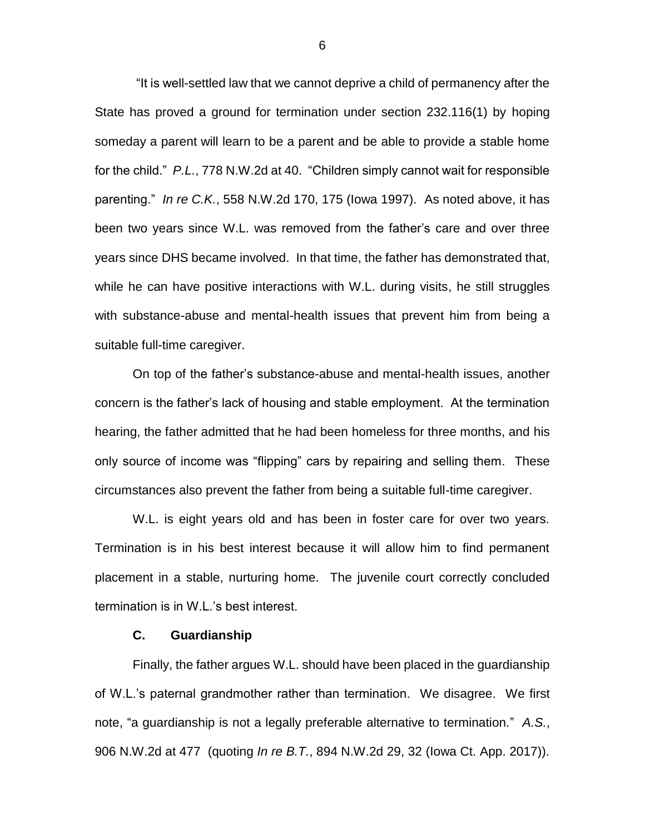"It is well-settled law that we cannot deprive a child of permanency after the State has proved a ground for termination under section 232.116(1) by hoping someday a parent will learn to be a parent and be able to provide a stable home for the child." *P.L.*, 778 N.W.2d at 40. "Children simply cannot wait for responsible parenting." *In re C.K.*, 558 N.W.2d 170, 175 (Iowa 1997). As noted above, it has been two years since W.L. was removed from the father's care and over three years since DHS became involved. In that time, the father has demonstrated that, while he can have positive interactions with W.L. during visits, he still struggles with substance-abuse and mental-health issues that prevent him from being a suitable full-time caregiver.

On top of the father's substance-abuse and mental-health issues, another concern is the father's lack of housing and stable employment. At the termination hearing, the father admitted that he had been homeless for three months, and his only source of income was "flipping" cars by repairing and selling them. These circumstances also prevent the father from being a suitable full-time caregiver.

W.L. is eight years old and has been in foster care for over two years. Termination is in his best interest because it will allow him to find permanent placement in a stable, nurturing home. The juvenile court correctly concluded termination is in W.L.'s best interest.

### **C. Guardianship**

Finally, the father argues W.L. should have been placed in the guardianship of W.L.'s paternal grandmother rather than termination. We disagree. We first note, "a guardianship is not a legally preferable alternative to termination." *A.S.*, 906 N.W.2d at 477 (quoting *In re B.T.*, 894 N.W.2d 29, 32 (Iowa Ct. App. 2017)).